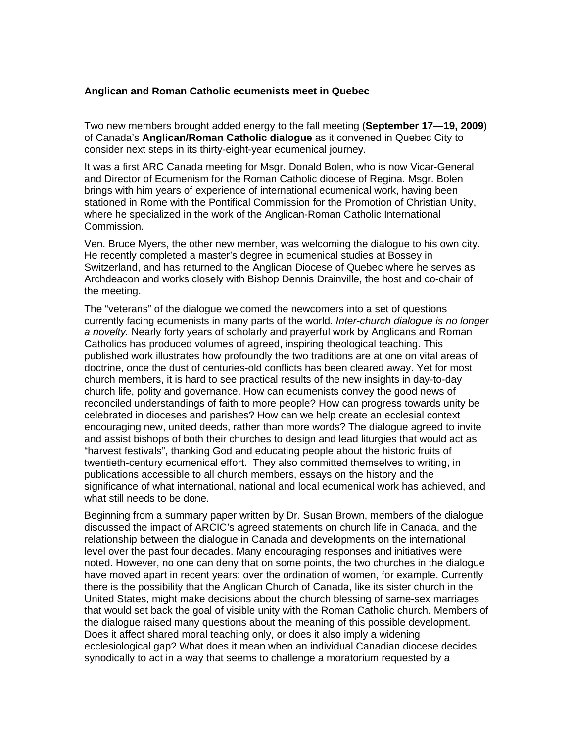## **Anglican and Roman Catholic ecumenists meet in Quebec**

Two new members brought added energy to the fall meeting (**September 17—19, 2009**) of Canada's **Anglican/Roman Catholic dialogue** as it convened in Quebec City to consider next steps in its thirty-eight-year ecumenical journey.

It was a first ARC Canada meeting for Msgr. Donald Bolen, who is now Vicar-General and Director of Ecumenism for the Roman Catholic diocese of Regina. Msgr. Bolen brings with him years of experience of international ecumenical work, having been stationed in Rome with the Pontifical Commission for the Promotion of Christian Unity, where he specialized in the work of the Anglican-Roman Catholic International Commission.

Ven. Bruce Myers, the other new member, was welcoming the dialogue to his own city. He recently completed a master's degree in ecumenical studies at Bossey in Switzerland, and has returned to the Anglican Diocese of Quebec where he serves as Archdeacon and works closely with Bishop Dennis Drainville, the host and co-chair of the meeting.

The "veterans" of the dialogue welcomed the newcomers into a set of questions currently facing ecumenists in many parts of the world. *Inter-church dialogue is no longer a novelty.* Nearly forty years of scholarly and prayerful work by Anglicans and Roman Catholics has produced volumes of agreed, inspiring theological teaching. This published work illustrates how profoundly the two traditions are at one on vital areas of doctrine, once the dust of centuries-old conflicts has been cleared away. Yet for most church members, it is hard to see practical results of the new insights in day-to-day church life, polity and governance. How can ecumenists convey the good news of reconciled understandings of faith to more people? How can progress towards unity be celebrated in dioceses and parishes? How can we help create an ecclesial context encouraging new, united deeds, rather than more words? The dialogue agreed to invite and assist bishops of both their churches to design and lead liturgies that would act as "harvest festivals", thanking God and educating people about the historic fruits of twentieth-century ecumenical effort. They also committed themselves to writing, in publications accessible to all church members, essays on the history and the significance of what international, national and local ecumenical work has achieved, and what still needs to be done.

Beginning from a summary paper written by Dr. Susan Brown, members of the dialogue discussed the impact of ARCIC's agreed statements on church life in Canada, and the relationship between the dialogue in Canada and developments on the international level over the past four decades. Many encouraging responses and initiatives were noted. However, no one can deny that on some points, the two churches in the dialogue have moved apart in recent years: over the ordination of women, for example. Currently there is the possibility that the Anglican Church of Canada, like its sister church in the United States, might make decisions about the church blessing of same-sex marriages that would set back the goal of visible unity with the Roman Catholic church. Members of the dialogue raised many questions about the meaning of this possible development. Does it affect shared moral teaching only, or does it also imply a widening ecclesiological gap? What does it mean when an individual Canadian diocese decides synodically to act in a way that seems to challenge a moratorium requested by a